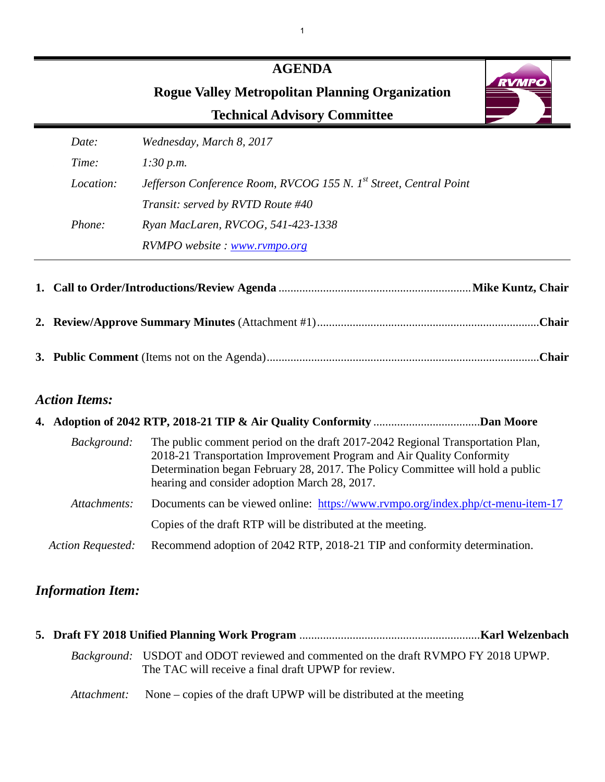# **AGENDA Rogue Valley Metropolitan Planning Organization Technical Advisory Committee**



| Date:            | Wednesday, March 8, 2017                                                      |
|------------------|-------------------------------------------------------------------------------|
| Time:            | 1:30 p.m.                                                                     |
| <i>Location:</i> | Jefferson Conference Room, RVCOG 155 N. 1 <sup>st</sup> Street, Central Point |
|                  | Transit: served by RVTD Route #40                                             |
| <i>Phone:</i>    | Ryan MacLaren, RVCOG, 541-423-1338                                            |
|                  | RVMPO website: www.rvmpo.org                                                  |

**1. Call to Order/Introductions/Review Agenda** ................................................................. **Mike Kuntz, Chair 2. Review/Approve Summary Minutes** (Attachment #1) ...........................................................................**Chair 3. Public Comment** (Items not on the Agenda) ............................................................................................**Chair**

## *Action Items:*

| Background:              | The public comment period on the draft 2017-2042 Regional Transportation Plan,<br>2018-21 Transportation Improvement Program and Air Quality Conformity<br>Determination began February 28, 2017. The Policy Committee will hold a public<br>hearing and consider adoption March 28, 2017. |  |
|--------------------------|--------------------------------------------------------------------------------------------------------------------------------------------------------------------------------------------------------------------------------------------------------------------------------------------|--|
| Attachments:             | Documents can be viewed online: https://www.rvmpo.org/index.php/ct-menu-item-17                                                                                                                                                                                                            |  |
|                          | Copies of the draft RTP will be distributed at the meeting.                                                                                                                                                                                                                                |  |
| <b>Action Requested:</b> | Recommend adoption of 2042 RTP, 2018-21 TIP and conformity determination.                                                                                                                                                                                                                  |  |

# *Information Item:*

|  | Background: USDOT and ODOT reviewed and commented on the draft RVMPO FY 2018 UPWP.<br>The TAC will receive a final draft UPWP for review. |  |
|--|-------------------------------------------------------------------------------------------------------------------------------------------|--|
|  | <i>Attachment:</i> None – copies of the draft UPWP will be distributed at the meeting                                                     |  |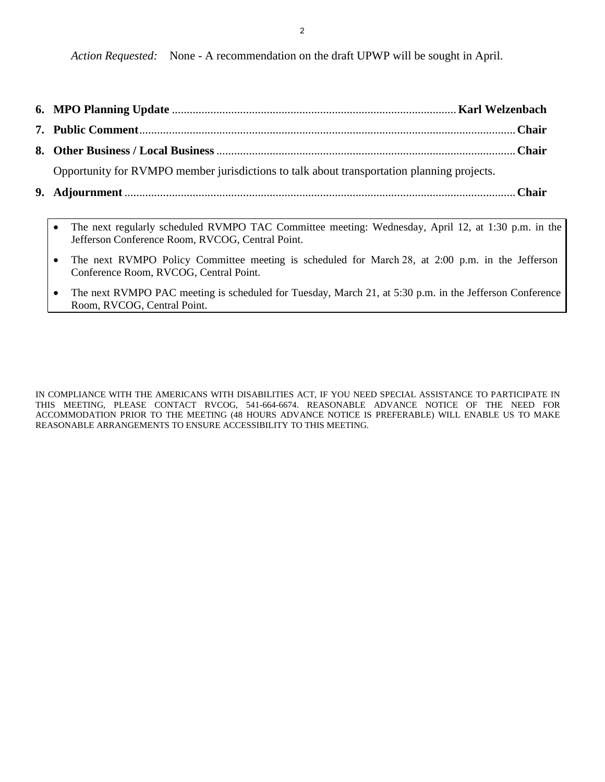2

*Action Requested:* None - A recommendation on the draft UPWP will be sought in April.

- **6. MPO Planning Update** ................................................................................................ **Karl Welzenbach**
- **7. Public Comment** ............................................................................................................................... **Chair**
- **8. Other Business / Local Business** ..................................................................................................... **Chair**

Opportunity for RVMPO member jurisdictions to talk about transportation planning projects.

- **9. Adjournment** .................................................................................................................................... **Chair**
	- The next regularly scheduled RVMPO TAC Committee meeting: Wednesday, April 12, at 1:30 p.m. in the Jefferson Conference Room, RVCOG, Central Point.
	- The next RVMPO Policy Committee meeting is scheduled for March 28, at 2:00 p.m. in the Jefferson Conference Room, RVCOG, Central Point.
	- The next RVMPO PAC meeting is scheduled for Tuesday, March 21, at 5:30 p.m. in the Jefferson Conference Room, RVCOG, Central Point.

IN COMPLIANCE WITH THE AMERICANS WITH DISABILITIES ACT, IF YOU NEED SPECIAL ASSISTANCE TO PARTICIPATE IN THIS MEETING, PLEASE CONTACT RVCOG, 541-664-6674. REASONABLE ADVANCE NOTICE OF THE NEED FOR ACCOMMODATION PRIOR TO THE MEETING (48 HOURS ADVANCE NOTICE IS PREFERABLE) WILL ENABLE US TO MAKE REASONABLE ARRANGEMENTS TO ENSURE ACCESSIBILITY TO THIS MEETING.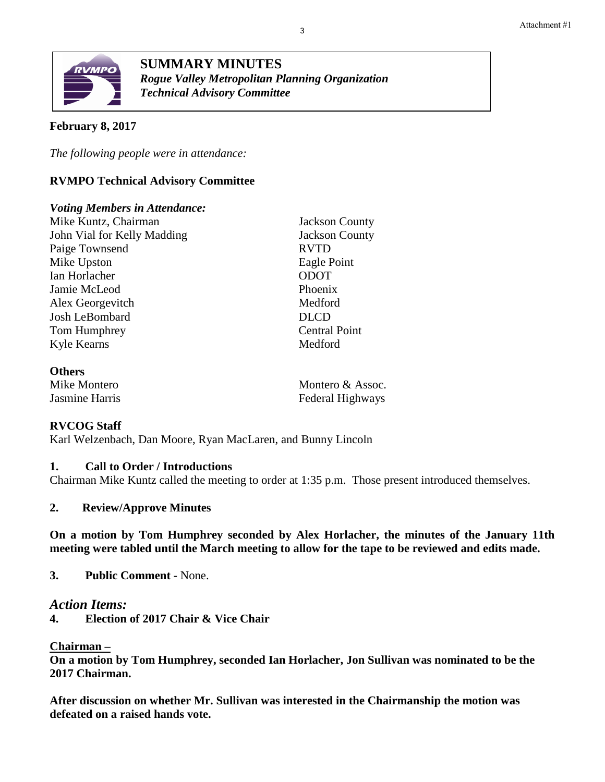

**SUMMARY MINUTES** *Rogue Valley Metropolitan Planning Organization Technical Advisory Committee*

#### **February 8, 2017**

*The following people were in attendance:* 

#### **RVMPO Technical Advisory Committee**

#### *Voting Members in Attendance:*

Mike Kuntz, Chairman Jackson County John Vial for Kelly Madding Jackson County Paige Townsend RVTD Mike Upston Eagle Point Ian Horlacher ODOT Jamie McLeod Phoenix Alex Georgevitch Medford Josh LeBombard DLCD Tom Humphrey Central Point Kyle Kearns Medford

#### **Others**

Mike Montero **Montero & Assoc.** Jasmine Harris Federal Highways

#### **RVCOG Staff**

Karl Welzenbach, Dan Moore, Ryan MacLaren, and Bunny Lincoln

#### **1. Call to Order / Introductions**

Chairman Mike Kuntz called the meeting to order at 1:35 p.m. Those present introduced themselves.

#### **2. Review/Approve Minutes**

**On a motion by Tom Humphrey seconded by Alex Horlacher, the minutes of the January 11th meeting were tabled until the March meeting to allow for the tape to be reviewed and edits made.** 

**3. Public Comment -** None.

#### *Action Items:*

**4. Election of 2017 Chair & Vice Chair**

#### **Chairman –**

**On a motion by Tom Humphrey, seconded Ian Horlacher, Jon Sullivan was nominated to be the 2017 Chairman.** 

**After discussion on whether Mr. Sullivan was interested in the Chairmanship the motion was defeated on a raised hands vote.**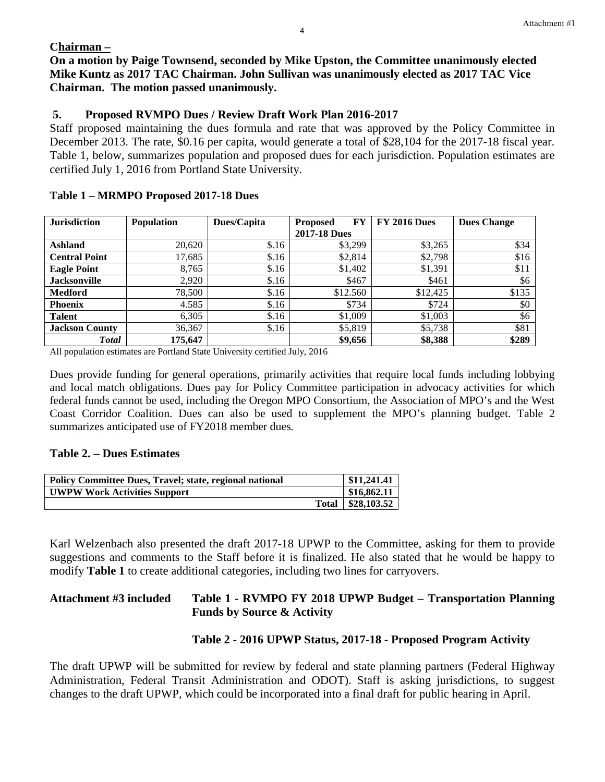#### **Chairman –**

**On a motion by Paige Townsend, seconded by Mike Upston, the Committee unanimously elected Mike Kuntz as 2017 TAC Chairman. John Sullivan was unanimously elected as 2017 TAC Vice Chairman. The motion passed unanimously.**

### **5. Proposed RVMPO Dues / Review Draft Work Plan 2016-2017**

Staff proposed maintaining the dues formula and rate that was approved by the Policy Committee in December 2013. The rate, \$0.16 per capita, would generate a total of \$28,104 for the 2017-18 fiscal year. Table 1, below, summarizes population and proposed dues for each jurisdiction. Population estimates are certified July 1, 2016 from Portland State University.

| <b>Jurisdiction</b>   | <b>Population</b> | Dues/Capita | FY<br><b>Proposed</b> | <b>FY 2016 Dues</b> | <b>Dues Change</b> |
|-----------------------|-------------------|-------------|-----------------------|---------------------|--------------------|
|                       |                   |             | <b>2017-18 Dues</b>   |                     |                    |
| <b>Ashland</b>        | 20,620            | \$.16       | \$3,299               | \$3,265             | \$34               |
| <b>Central Point</b>  | 17,685            | \$.16       | \$2,814               | \$2,798             | \$16               |
| <b>Eagle Point</b>    | 8,765             | \$.16       | \$1,402               | \$1,391             | \$11               |
| <b>Jacksonville</b>   | 2,920             | \$.16       | \$467                 | \$461               | \$6                |
| <b>Medford</b>        | 78,500            | \$.16       | \$12.560              | \$12,425            | \$135              |
| <b>Phoenix</b>        | 4.585             | \$.16       | \$734                 | \$724               | \$0                |
| <b>Talent</b>         | 6,305             | \$.16       | \$1,009               | \$1,003             | \$6                |
| <b>Jackson County</b> | 36,367            | \$.16       | \$5,819               | \$5,738             | \$81               |
| <b>Total</b>          | 175,647           |             | \$9,656               | \$8,388             | \$289              |

All population estimates are Portland State University certified July, 2016

Dues provide funding for general operations, primarily activities that require local funds including lobbying and local match obligations. Dues pay for Policy Committee participation in advocacy activities for which federal funds cannot be used, including the Oregon MPO Consortium, the Association of MPO's and the West Coast Corridor Coalition. Dues can also be used to supplement the MPO's planning budget. Table 2 summarizes anticipated use of FY2018 member dues.

#### **Table 2. – Dues Estimates**

| <b>Policy Committee Dues, Travel; state, regional national</b> | \$11,241.41         |
|----------------------------------------------------------------|---------------------|
| <b>UWPW Work Activities Support</b>                            | \$16,862.11         |
|                                                                | Total   \$28,103.52 |

Karl Welzenbach also presented the draft 2017-18 UPWP to the Committee, asking for them to provide suggestions and comments to the Staff before it is finalized. He also stated that he would be happy to modify **Table 1** to create additional categories, including two lines for carryovers.

#### **Attachment #3 included Table 1 - RVMPO FY 2018 UPWP Budget – Transportation Planning Funds by Source & Activity**

## **Table 2 - 2016 UPWP Status, 2017-18 - Proposed Program Activity**

The draft UPWP will be submitted for review by federal and state planning partners (Federal Highway Administration, Federal Transit Administration and ODOT). Staff is asking jurisdictions, to suggest changes to the draft UPWP, which could be incorporated into a final draft for public hearing in April.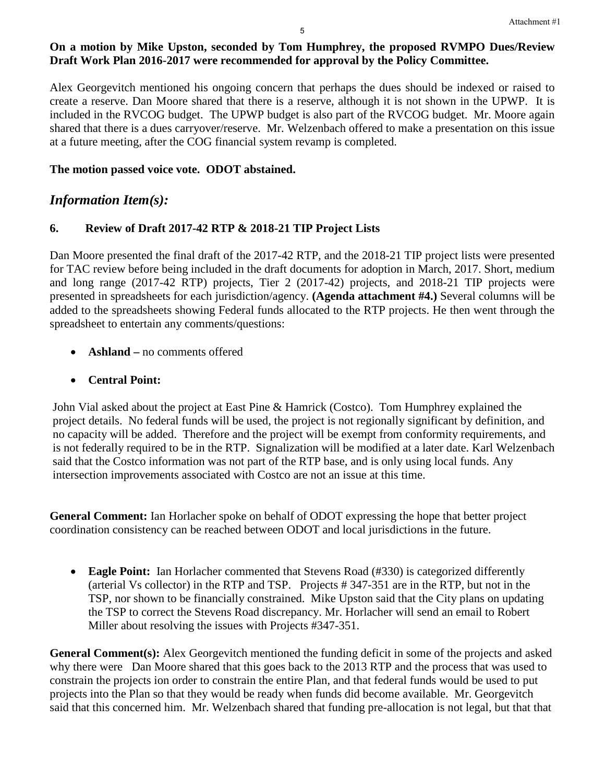## **On a motion by Mike Upston, seconded by Tom Humphrey, the proposed RVMPO Dues/Review Draft Work Plan 2016-2017 were recommended for approval by the Policy Committee.**

Alex Georgevitch mentioned his ongoing concern that perhaps the dues should be indexed or raised to create a reserve. Dan Moore shared that there is a reserve, although it is not shown in the UPWP. It is included in the RVCOG budget. The UPWP budget is also part of the RVCOG budget. Mr. Moore again shared that there is a dues carryover/reserve. Mr. Welzenbach offered to make a presentation on this issue at a future meeting, after the COG financial system revamp is completed.

#### **The motion passed voice vote. ODOT abstained.**

# *Information Item(s):*

#### **6. Review of Draft 2017-42 RTP & 2018-21 TIP Project Lists**

Dan Moore presented the final draft of the 2017-42 RTP, and the 2018-21 TIP project lists were presented for TAC review before being included in the draft documents for adoption in March, 2017. Short, medium and long range (2017-42 RTP) projects, Tier 2 (2017-42) projects, and 2018-21 TIP projects were presented in spreadsheets for each jurisdiction/agency. **(Agenda attachment #4.)** Several columns will be added to the spreadsheets showing Federal funds allocated to the RTP projects. He then went through the spreadsheet to entertain any comments/questions:

- **Ashland** no comments offered
- **Central Point:**

John Vial asked about the project at East Pine & Hamrick (Costco). Tom Humphrey explained the project details. No federal funds will be used, the project is not regionally significant by definition, and no capacity will be added. Therefore and the project will be exempt from conformity requirements, and is not federally required to be in the RTP. Signalization will be modified at a later date. Karl Welzenbach said that the Costco information was not part of the RTP base, and is only using local funds. Any intersection improvements associated with Costco are not an issue at this time.

**General Comment:** Ian Horlacher spoke on behalf of ODOT expressing the hope that better project coordination consistency can be reached between ODOT and local jurisdictions in the future.

• **Eagle Point:** Ian Horlacher commented that Stevens Road (#330) is categorized differently (arterial Vs collector) in the RTP and TSP. Projects # 347-351 are in the RTP, but not in the TSP, nor shown to be financially constrained. Mike Upston said that the City plans on updating the TSP to correct the Stevens Road discrepancy. Mr. Horlacher will send an email to Robert Miller about resolving the issues with Projects #347-351.

**General Comment(s):** Alex Georgevitch mentioned the funding deficit in some of the projects and asked why there were Dan Moore shared that this goes back to the 2013 RTP and the process that was used to constrain the projects ion order to constrain the entire Plan, and that federal funds would be used to put projects into the Plan so that they would be ready when funds did become available. Mr. Georgevitch said that this concerned him. Mr. Welzenbach shared that funding pre-allocation is not legal, but that that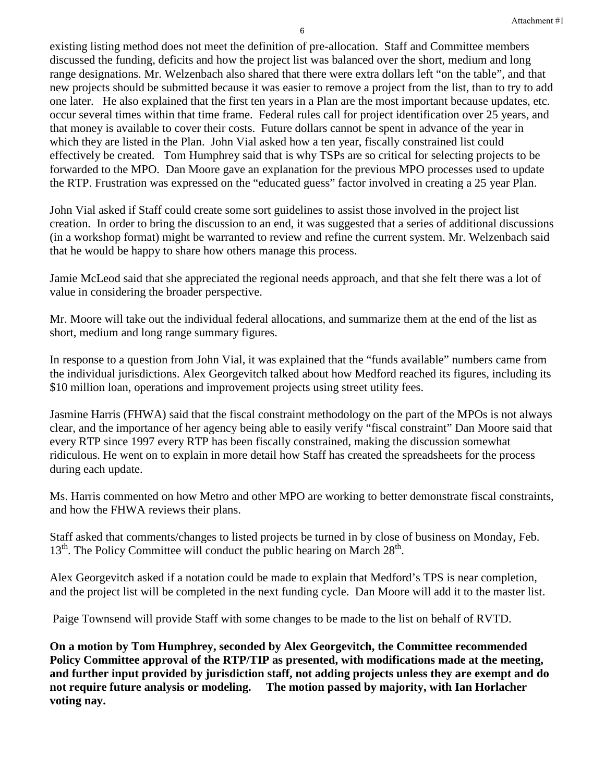existing listing method does not meet the definition of pre-allocation. Staff and Committee members discussed the funding, deficits and how the project list was balanced over the short, medium and long range designations. Mr. Welzenbach also shared that there were extra dollars left "on the table", and that new projects should be submitted because it was easier to remove a project from the list, than to try to add one later. He also explained that the first ten years in a Plan are the most important because updates, etc. occur several times within that time frame. Federal rules call for project identification over 25 years, and that money is available to cover their costs. Future dollars cannot be spent in advance of the year in which they are listed in the Plan. John Vial asked how a ten year, fiscally constrained list could effectively be created. Tom Humphrey said that is why TSPs are so critical for selecting projects to be forwarded to the MPO. Dan Moore gave an explanation for the previous MPO processes used to update the RTP. Frustration was expressed on the "educated guess" factor involved in creating a 25 year Plan.

John Vial asked if Staff could create some sort guidelines to assist those involved in the project list creation. In order to bring the discussion to an end, it was suggested that a series of additional discussions (in a workshop format) might be warranted to review and refine the current system. Mr. Welzenbach said that he would be happy to share how others manage this process.

Jamie McLeod said that she appreciated the regional needs approach, and that she felt there was a lot of value in considering the broader perspective.

Mr. Moore will take out the individual federal allocations, and summarize them at the end of the list as short, medium and long range summary figures.

In response to a question from John Vial, it was explained that the "funds available" numbers came from the individual jurisdictions. Alex Georgevitch talked about how Medford reached its figures, including its \$10 million loan, operations and improvement projects using street utility fees.

Jasmine Harris (FHWA) said that the fiscal constraint methodology on the part of the MPOs is not always clear, and the importance of her agency being able to easily verify "fiscal constraint" Dan Moore said that every RTP since 1997 every RTP has been fiscally constrained, making the discussion somewhat ridiculous. He went on to explain in more detail how Staff has created the spreadsheets for the process during each update.

Ms. Harris commented on how Metro and other MPO are working to better demonstrate fiscal constraints, and how the FHWA reviews their plans.

Staff asked that comments/changes to listed projects be turned in by close of business on Monday, Feb.  $13<sup>th</sup>$ . The Policy Committee will conduct the public hearing on March  $28<sup>th</sup>$ .

Alex Georgevitch asked if a notation could be made to explain that Medford's TPS is near completion, and the project list will be completed in the next funding cycle. Dan Moore will add it to the master list.

Paige Townsend will provide Staff with some changes to be made to the list on behalf of RVTD.

**On a motion by Tom Humphrey, seconded by Alex Georgevitch, the Committee recommended Policy Committee approval of the RTP/TIP as presented, with modifications made at the meeting, and further input provided by jurisdiction staff, not adding projects unless they are exempt and do not require future analysis or modeling. The motion passed by majority, with Ian Horlacher voting nay.**